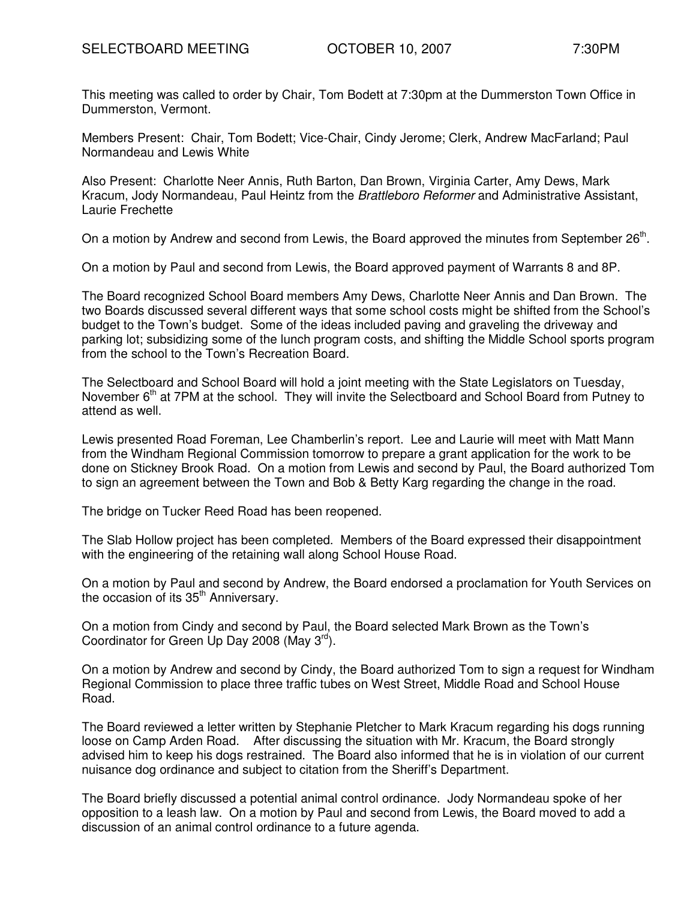This meeting was called to order by Chair, Tom Bodett at 7:30pm at the Dummerston Town Office in Dummerston, Vermont.

Members Present: Chair, Tom Bodett; Vice-Chair, Cindy Jerome; Clerk, Andrew MacFarland; Paul Normandeau and Lewis White

Also Present: Charlotte Neer Annis, Ruth Barton, Dan Brown, Virginia Carter, Amy Dews, Mark Kracum, Jody Normandeau, Paul Heintz from the Brattleboro Reformer and Administrative Assistant, Laurie Frechette

On a motion by Andrew and second from Lewis, the Board approved the minutes from September 26<sup>th</sup>.

On a motion by Paul and second from Lewis, the Board approved payment of Warrants 8 and 8P.

The Board recognized School Board members Amy Dews, Charlotte Neer Annis and Dan Brown. The two Boards discussed several different ways that some school costs might be shifted from the School's budget to the Town's budget. Some of the ideas included paving and graveling the driveway and parking lot; subsidizing some of the lunch program costs, and shifting the Middle School sports program from the school to the Town's Recreation Board.

The Selectboard and School Board will hold a joint meeting with the State Legislators on Tuesday, November 6<sup>th</sup> at 7PM at the school. They will invite the Selectboard and School Board from Putney to attend as well.

Lewis presented Road Foreman, Lee Chamberlin's report. Lee and Laurie will meet with Matt Mann from the Windham Regional Commission tomorrow to prepare a grant application for the work to be done on Stickney Brook Road. On a motion from Lewis and second by Paul, the Board authorized Tom to sign an agreement between the Town and Bob & Betty Karg regarding the change in the road.

The bridge on Tucker Reed Road has been reopened.

The Slab Hollow project has been completed. Members of the Board expressed their disappointment with the engineering of the retaining wall along School House Road.

On a motion by Paul and second by Andrew, the Board endorsed a proclamation for Youth Services on the occasion of its 35<sup>th</sup> Anniversary.

On a motion from Cindy and second by Paul, the Board selected Mark Brown as the Town's Coordinator for Green Up Day 2008 (May 3<sup>rd</sup>).

On a motion by Andrew and second by Cindy, the Board authorized Tom to sign a request for Windham Regional Commission to place three traffic tubes on West Street, Middle Road and School House Road.

The Board reviewed a letter written by Stephanie Pletcher to Mark Kracum regarding his dogs running loose on Camp Arden Road. After discussing the situation with Mr. Kracum, the Board strongly advised him to keep his dogs restrained. The Board also informed that he is in violation of our current nuisance dog ordinance and subject to citation from the Sheriff's Department.

The Board briefly discussed a potential animal control ordinance. Jody Normandeau spoke of her opposition to a leash law. On a motion by Paul and second from Lewis, the Board moved to add a discussion of an animal control ordinance to a future agenda.